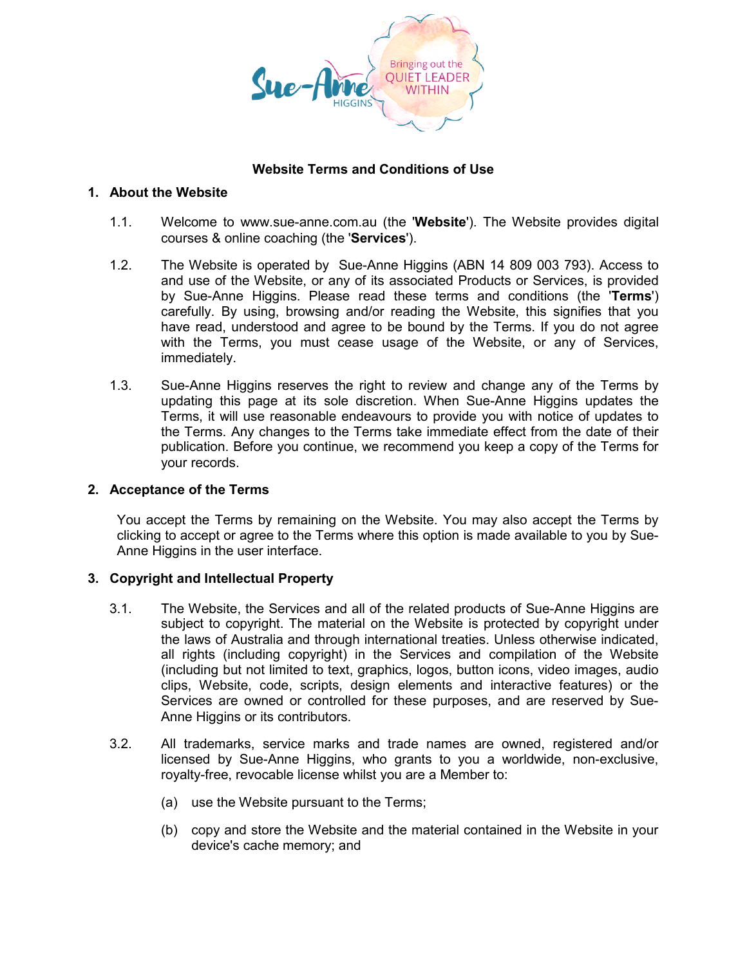

# **Website Terms and Conditions of Use**

### **1. About the Website**

- 1.1. Welcome to www.sue-anne.com.au (the '**Website**'). The Website provides digital courses & online coaching (the '**Services**').
- 1.2. The Website is operated by Sue-Anne Higgins (ABN 14 809 003 793). Access to and use of the Website, or any of its associated Products or Services, is provided by Sue-Anne Higgins. Please read these terms and conditions (the '**Terms**') carefully. By using, browsing and/or reading the Website, this signifies that you have read, understood and agree to be bound by the Terms. If you do not agree with the Terms, you must cease usage of the Website, or any of Services, immediately.
- 1.3. Sue-Anne Higgins reserves the right to review and change any of the Terms by updating this page at its sole discretion. When Sue-Anne Higgins updates the Terms, it will use reasonable endeavours to provide you with notice of updates to the Terms. Any changes to the Terms take immediate effect from the date of their publication. Before you continue, we recommend you keep a copy of the Terms for your records.

# **2. Acceptance of the Terms**

You accept the Terms by remaining on the Website. You may also accept the Terms by clicking to accept or agree to the Terms where this option is made available to you by Sue-Anne Higgins in the user interface.

# **3. Copyright and Intellectual Property**

- 3.1. The Website, the Services and all of the related products of Sue-Anne Higgins are subject to copyright. The material on the Website is protected by copyright under the laws of Australia and through international treaties. Unless otherwise indicated, all rights (including copyright) in the Services and compilation of the Website (including but not limited to text, graphics, logos, button icons, video images, audio clips, Website, code, scripts, design elements and interactive features) or the Services are owned or controlled for these purposes, and are reserved by Sue-Anne Higgins or its contributors.
- 3.2. All trademarks, service marks and trade names are owned, registered and/or licensed by Sue-Anne Higgins, who grants to you a worldwide, non-exclusive, royalty-free, revocable license whilst you are a Member to:
	- (a) use the Website pursuant to the Terms;
	- (b) copy and store the Website and the material contained in the Website in your device's cache memory; and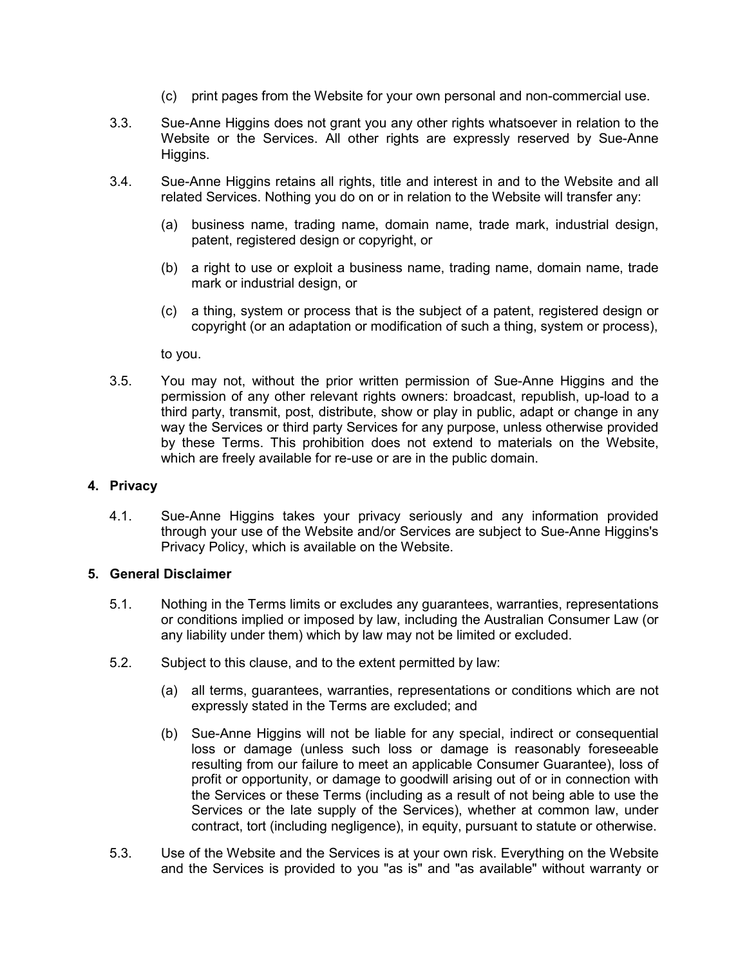- (c) print pages from the Website for your own personal and non-commercial use.
- 3.3. Sue-Anne Higgins does not grant you any other rights whatsoever in relation to the Website or the Services. All other rights are expressly reserved by Sue-Anne Higgins.
- 3.4. Sue-Anne Higgins retains all rights, title and interest in and to the Website and all related Services. Nothing you do on or in relation to the Website will transfer any:
	- (a) business name, trading name, domain name, trade mark, industrial design, patent, registered design or copyright, or
	- (b) a right to use or exploit a business name, trading name, domain name, trade mark or industrial design, or
	- (c) a thing, system or process that is the subject of a patent, registered design or copyright (or an adaptation or modification of such a thing, system or process),

to you.

3.5. You may not, without the prior written permission of Sue-Anne Higgins and the permission of any other relevant rights owners: broadcast, republish, up-load to a third party, transmit, post, distribute, show or play in public, adapt or change in any way the Services or third party Services for any purpose, unless otherwise provided by these Terms. This prohibition does not extend to materials on the Website, which are freely available for re-use or are in the public domain.

# **4. Privacy**

4.1. Sue-Anne Higgins takes your privacy seriously and any information provided through your use of the Website and/or Services are subject to Sue-Anne Higgins's Privacy Policy, which is available on the Website.

#### **5. General Disclaimer**

- 5.1. Nothing in the Terms limits or excludes any guarantees, warranties, representations or conditions implied or imposed by law, including the Australian Consumer Law (or any liability under them) which by law may not be limited or excluded.
- 5.2. Subject to this clause, and to the extent permitted by law:
	- (a) all terms, guarantees, warranties, representations or conditions which are not expressly stated in the Terms are excluded; and
	- (b) Sue-Anne Higgins will not be liable for any special, indirect or consequential loss or damage (unless such loss or damage is reasonably foreseeable resulting from our failure to meet an applicable Consumer Guarantee), loss of profit or opportunity, or damage to goodwill arising out of or in connection with the Services or these Terms (including as a result of not being able to use the Services or the late supply of the Services), whether at common law, under contract, tort (including negligence), in equity, pursuant to statute or otherwise.
- 5.3. Use of the Website and the Services is at your own risk. Everything on the Website and the Services is provided to you "as is" and "as available" without warranty or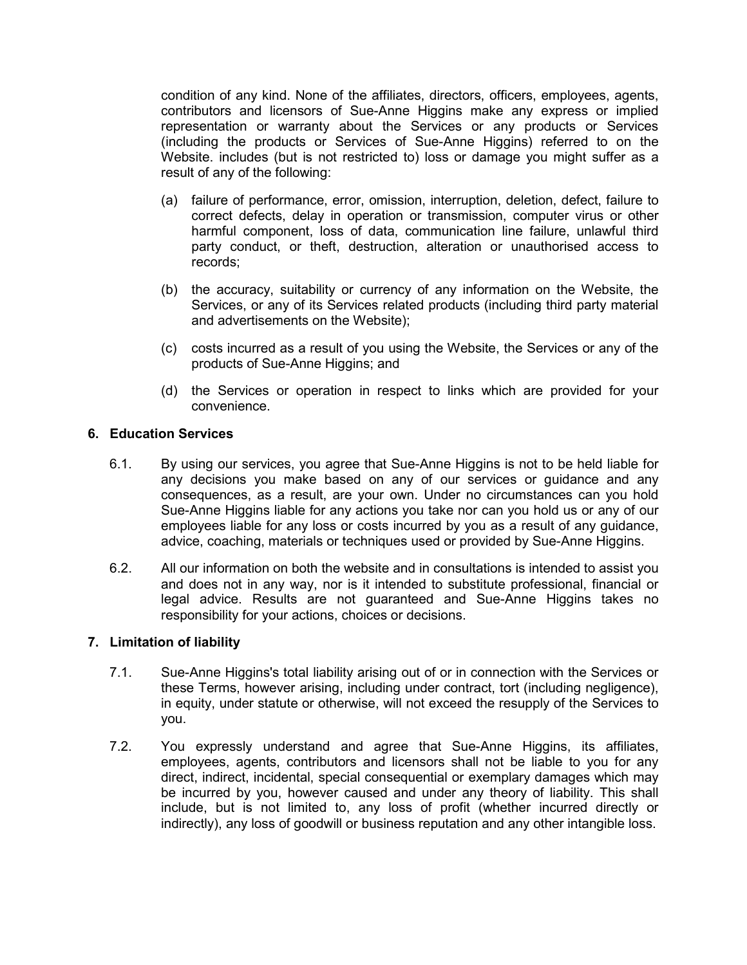condition of any kind. None of the affiliates, directors, officers, employees, agents, contributors and licensors of Sue-Anne Higgins make any express or implied representation or warranty about the Services or any products or Services (including the products or Services of Sue-Anne Higgins) referred to on the Website. includes (but is not restricted to) loss or damage you might suffer as a result of any of the following:

- (a) failure of performance, error, omission, interruption, deletion, defect, failure to correct defects, delay in operation or transmission, computer virus or other harmful component, loss of data, communication line failure, unlawful third party conduct, or theft, destruction, alteration or unauthorised access to records;
- (b) the accuracy, suitability or currency of any information on the Website, the Services, or any of its Services related products (including third party material and advertisements on the Website);
- (c) costs incurred as a result of you using the Website, the Services or any of the products of Sue-Anne Higgins; and
- (d) the Services or operation in respect to links which are provided for your convenience.

### **6. Education Services**

- 6.1. By using our services, you agree that Sue-Anne Higgins is not to be held liable for any decisions you make based on any of our services or guidance and any consequences, as a result, are your own. Under no circumstances can you hold Sue-Anne Higgins liable for any actions you take nor can you hold us or any of our employees liable for any loss or costs incurred by you as a result of any guidance, advice, coaching, materials or techniques used or provided by Sue-Anne Higgins.
- 6.2. All our information on both the website and in consultations is intended to assist you and does not in any way, nor is it intended to substitute professional, financial or legal advice. Results are not guaranteed and Sue-Anne Higgins takes no responsibility for your actions, choices or decisions.

#### **7. Limitation of liability**

- 7.1. Sue-Anne Higgins's total liability arising out of or in connection with the Services or these Terms, however arising, including under contract, tort (including negligence), in equity, under statute or otherwise, will not exceed the resupply of the Services to you.
- 7.2. You expressly understand and agree that Sue-Anne Higgins, its affiliates, employees, agents, contributors and licensors shall not be liable to you for any direct, indirect, incidental, special consequential or exemplary damages which may be incurred by you, however caused and under any theory of liability. This shall include, but is not limited to, any loss of profit (whether incurred directly or indirectly), any loss of goodwill or business reputation and any other intangible loss.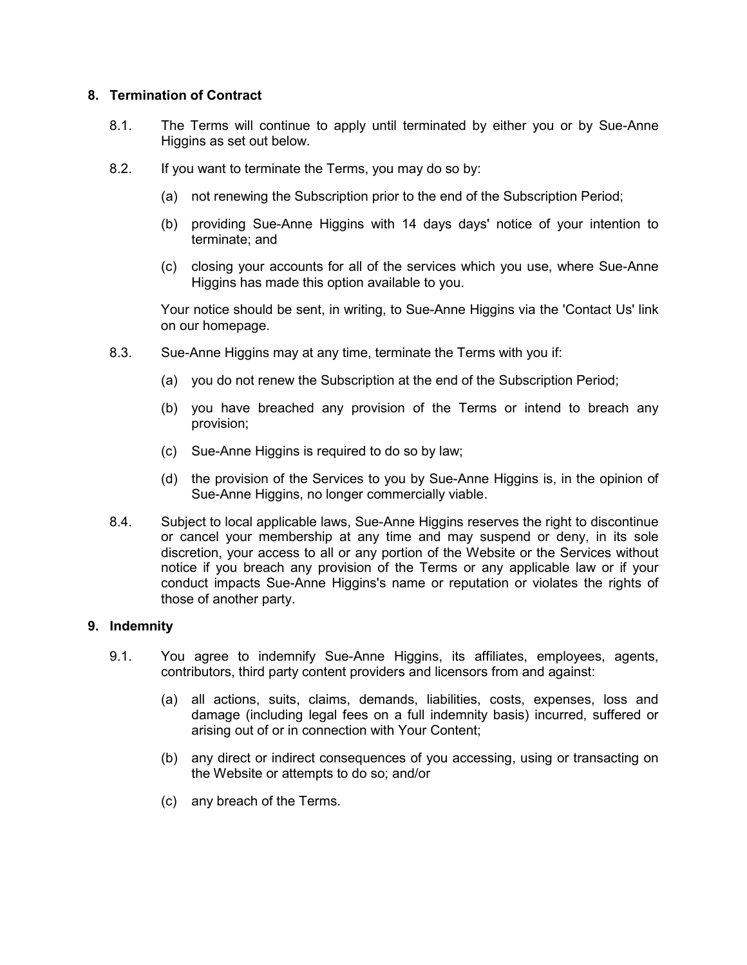# **8. Termination of Contract**

- 8.1. The Terms will continue to apply until terminated by either you or by Sue-Anne Higgins as set out below.
- 8.2. If you want to terminate the Terms, you may do so by:
	- (a) not renewing the Subscription prior to the end of the Subscription Period;
	- (b) providing Sue-Anne Higgins with 14 days days' notice of your intention to terminate; and
	- (c) closing your accounts for all of the services which you use, where Sue-Anne Higgins has made this option available to you.

Your notice should be sent, in writing, to Sue-Anne Higgins via the 'Contact Us' link on our homepage.

- 8.3. Sue-Anne Higgins may at any time, terminate the Terms with you if:
	- (a) you do not renew the Subscription at the end of the Subscription Period;
	- (b) you have breached any provision of the Terms or intend to breach any provision;
	- (c) Sue-Anne Higgins is required to do so by law;
	- (d) the provision of the Services to you by Sue-Anne Higgins is, in the opinion of Sue-Anne Higgins, no longer commercially viable.
- 8.4. Subject to local applicable laws, Sue-Anne Higgins reserves the right to discontinue or cancel your membership at any time and may suspend or deny, in its sole discretion, your access to all or any portion of the Website or the Services without notice if you breach any provision of the Terms or any applicable law or if your conduct impacts Sue-Anne Higgins's name or reputation or violates the rights of those of another party.

# **9. Indemnity**

- 9.1. You agree to indemnify Sue-Anne Higgins, its affiliates, employees, agents, contributors, third party content providers and licensors from and against:
	- (a) all actions, suits, claims, demands, liabilities, costs, expenses, loss and damage (including legal fees on a full indemnity basis) incurred, suffered or arising out of or in connection with Your Content;
	- (b) any direct or indirect consequences of you accessing, using or transacting on the Website or attempts to do so; and/or
	- (c) any breach of the Terms.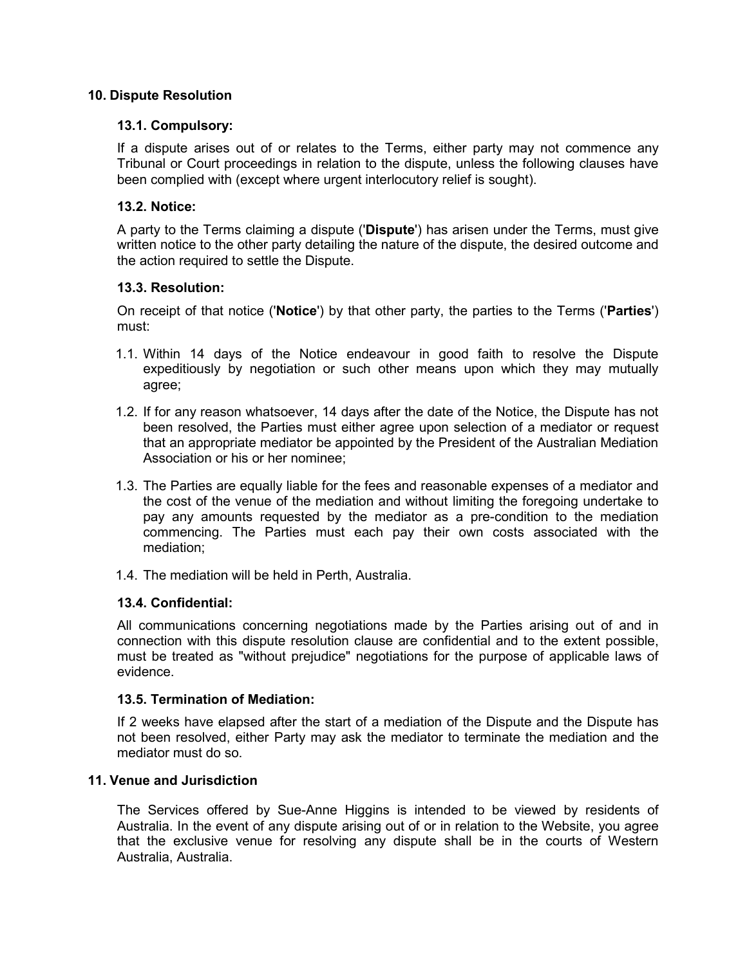### **10. Dispute Resolution**

### **13.1. Compulsory:**

If a dispute arises out of or relates to the Terms, either party may not commence any Tribunal or Court proceedings in relation to the dispute, unless the following clauses have been complied with (except where urgent interlocutory relief is sought).

### **13.2. Notice:**

A party to the Terms claiming a dispute ('**Dispute**') has arisen under the Terms, must give written notice to the other party detailing the nature of the dispute, the desired outcome and the action required to settle the Dispute.

### **13.3. Resolution:**

On receipt of that notice ('**Notice**') by that other party, the parties to the Terms ('**Parties**') must:

- 1.1. Within 14 days of the Notice endeavour in good faith to resolve the Dispute expeditiously by negotiation or such other means upon which they may mutually agree;
- 1.2. If for any reason whatsoever, 14 days after the date of the Notice, the Dispute has not been resolved, the Parties must either agree upon selection of a mediator or request that an appropriate mediator be appointed by the President of the Australian Mediation Association or his or her nominee;
- 1.3. The Parties are equally liable for the fees and reasonable expenses of a mediator and the cost of the venue of the mediation and without limiting the foregoing undertake to pay any amounts requested by the mediator as a pre-condition to the mediation commencing. The Parties must each pay their own costs associated with the mediation;
- 1.4. The mediation will be held in Perth, Australia.

### **13.4. Confidential:**

All communications concerning negotiations made by the Parties arising out of and in connection with this dispute resolution clause are confidential and to the extent possible, must be treated as "without prejudice" negotiations for the purpose of applicable laws of evidence.

#### **13.5. Termination of Mediation:**

If 2 weeks have elapsed after the start of a mediation of the Dispute and the Dispute has not been resolved, either Party may ask the mediator to terminate the mediation and the mediator must do so.

### **11. Venue and Jurisdiction**

The Services offered by Sue-Anne Higgins is intended to be viewed by residents of Australia. In the event of any dispute arising out of or in relation to the Website, you agree that the exclusive venue for resolving any dispute shall be in the courts of Western Australia, Australia.